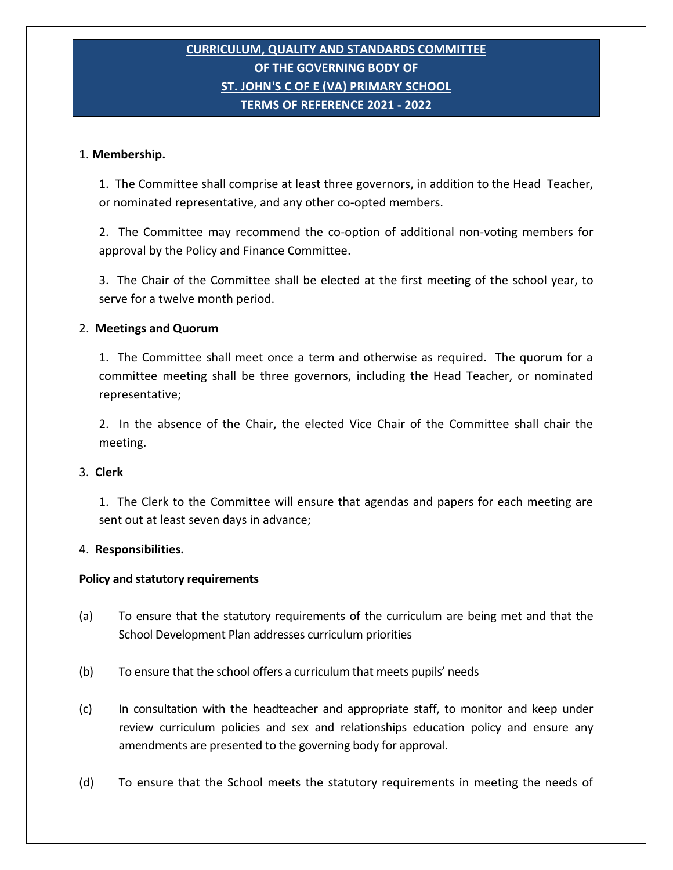# **CURRICULUM, QUALITY AND STANDARDS COMMITTEE OF THE GOVERNING BODY OF ST. JOHN'S C OF E (VA) PRIMARY SCHOOL TERMS OF REFERENCE 2021 - 2022**

## 1. **Membership.**

1. The Committee shall comprise at least three governors, in addition to the Head Teacher, or nominated representative, and any other co-opted members.

2. The Committee may recommend the co-option of additional non-voting members for approval by the Policy and Finance Committee.

3. The Chair of the Committee shall be elected at the first meeting of the school year, to serve for a twelve month period.

### 2. **Meetings and Quorum**

 1. The Committee shall meet once a term and otherwise as required. The quorum for a committee meeting shall be three governors, including the Head Teacher, or nominated representative;

2. In the absence of the Chair, the elected Vice Chair of the Committee shall chair the meeting.

## 3. **Clerk**

 1. The Clerk to the Committee will ensure that agendas and papers for each meeting are sent out at least seven days in advance;

#### 4. **Responsibilities.**

# **Policy and statutory requirements**

- (a) To ensure that the statutory requirements of the curriculum are being met and that the School Development Plan addresses curriculum priorities
- (b) To ensure that the school offers a curriculum that meets pupils' needs
- (c) In consultation with the headteacher and appropriate staff, to monitor and keep under review curriculum policies and sex and relationships education policy and ensure any amendments are presented to the governing body for approval.
- (d) To ensure that the School meets the statutory requirements in meeting the needs of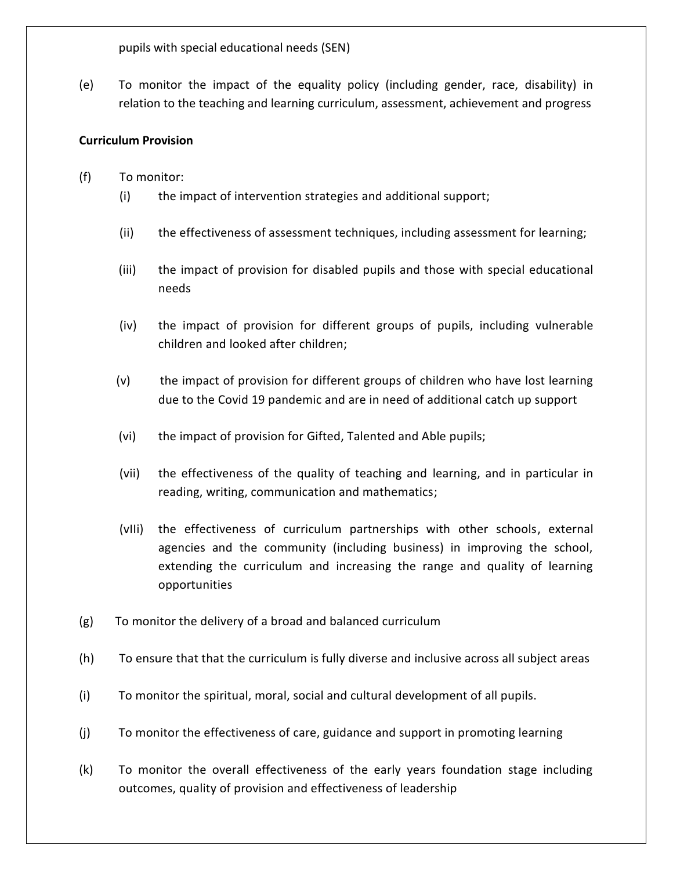pupils with special educational needs (SEN)

(e) To monitor the impact of the equality policy (including gender, race, disability) in relation to the teaching and learning curriculum, assessment, achievement and progress

# **Curriculum Provision**

- (f) To monitor:
	- (i) the impact of intervention strategies and additional support;
	- (ii) the effectiveness of assessment techniques, including assessment for learning;
	- (iii) the impact of provision for disabled pupils and those with special educational needs
	- (iv) the impact of provision for different groups of pupils, including vulnerable children and looked after children;
	- (v) the impact of provision for different groups of children who have lost learning due to the Covid 19 pandemic and are in need of additional catch up support
	- (vi) the impact of provision for Gifted, Talented and Able pupils;
	- (vii) the effectiveness of the quality of teaching and learning, and in particular in reading, writing, communication and mathematics;
	- (vIIi) the effectiveness of curriculum partnerships with other schools, external agencies and the community (including business) in improving the school, extending the curriculum and increasing the range and quality of learning opportunities
- (g) To monitor the delivery of a broad and balanced curriculum
- (h) To ensure that that the curriculum is fully diverse and inclusive across all subject areas
- (i) To monitor the spiritual, moral, social and cultural development of all pupils.
- (j) To monitor the effectiveness of care, guidance and support in promoting learning
- (k) To monitor the overall effectiveness of the early years foundation stage including outcomes, quality of provision and effectiveness of leadership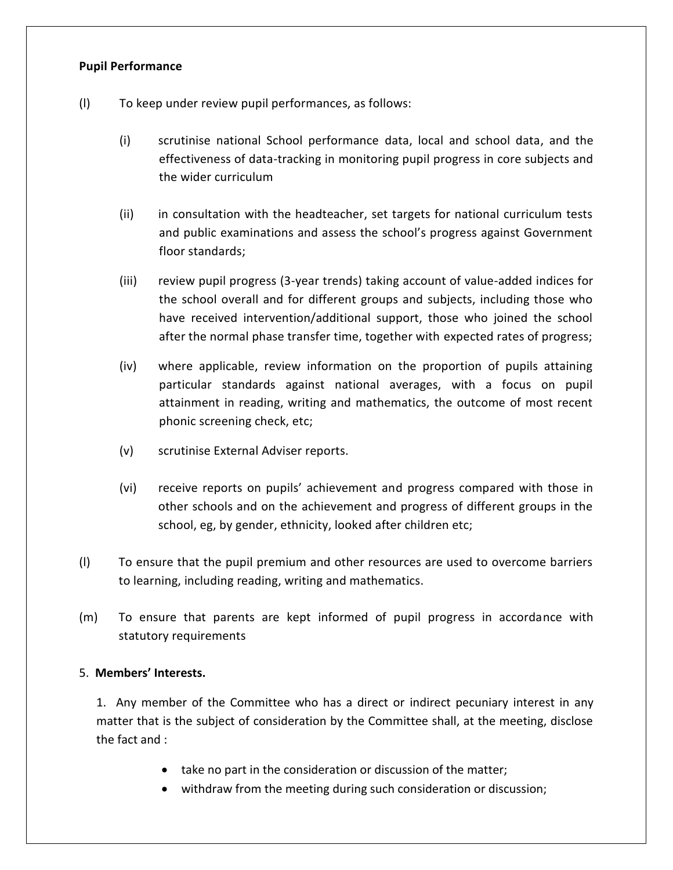# **Pupil Performance**

- (l) To keep under review pupil performances, as follows:
	- (i) scrutinise national School performance data, local and school data, and the effectiveness of data-tracking in monitoring pupil progress in core subjects and the wider curriculum
	- (ii) in consultation with the headteacher, set targets for national curriculum tests and public examinations and assess the school's progress against Government floor standards;
	- (iii) review pupil progress (3-year trends) taking account of value-added indices for the school overall and for different groups and subjects, including those who have received intervention/additional support, those who joined the school after the normal phase transfer time, together with expected rates of progress;
	- (iv) where applicable, review information on the proportion of pupils attaining particular standards against national averages, with a focus on pupil attainment in reading, writing and mathematics, the outcome of most recent phonic screening check, etc;
	- (v) scrutinise External Adviser reports.
	- (vi) receive reports on pupils' achievement and progress compared with those in other schools and on the achievement and progress of different groups in the school, eg, by gender, ethnicity, looked after children etc;
- (l) To ensure that the pupil premium and other resources are used to overcome barriers to learning, including reading, writing and mathematics.
- (m) To ensure that parents are kept informed of pupil progress in accordance with statutory requirements

# 5. **Members' Interests.**

1. Any member of the Committee who has a direct or indirect pecuniary interest in any matter that is the subject of consideration by the Committee shall, at the meeting, disclose the fact and :

- take no part in the consideration or discussion of the matter;
- withdraw from the meeting during such consideration or discussion;